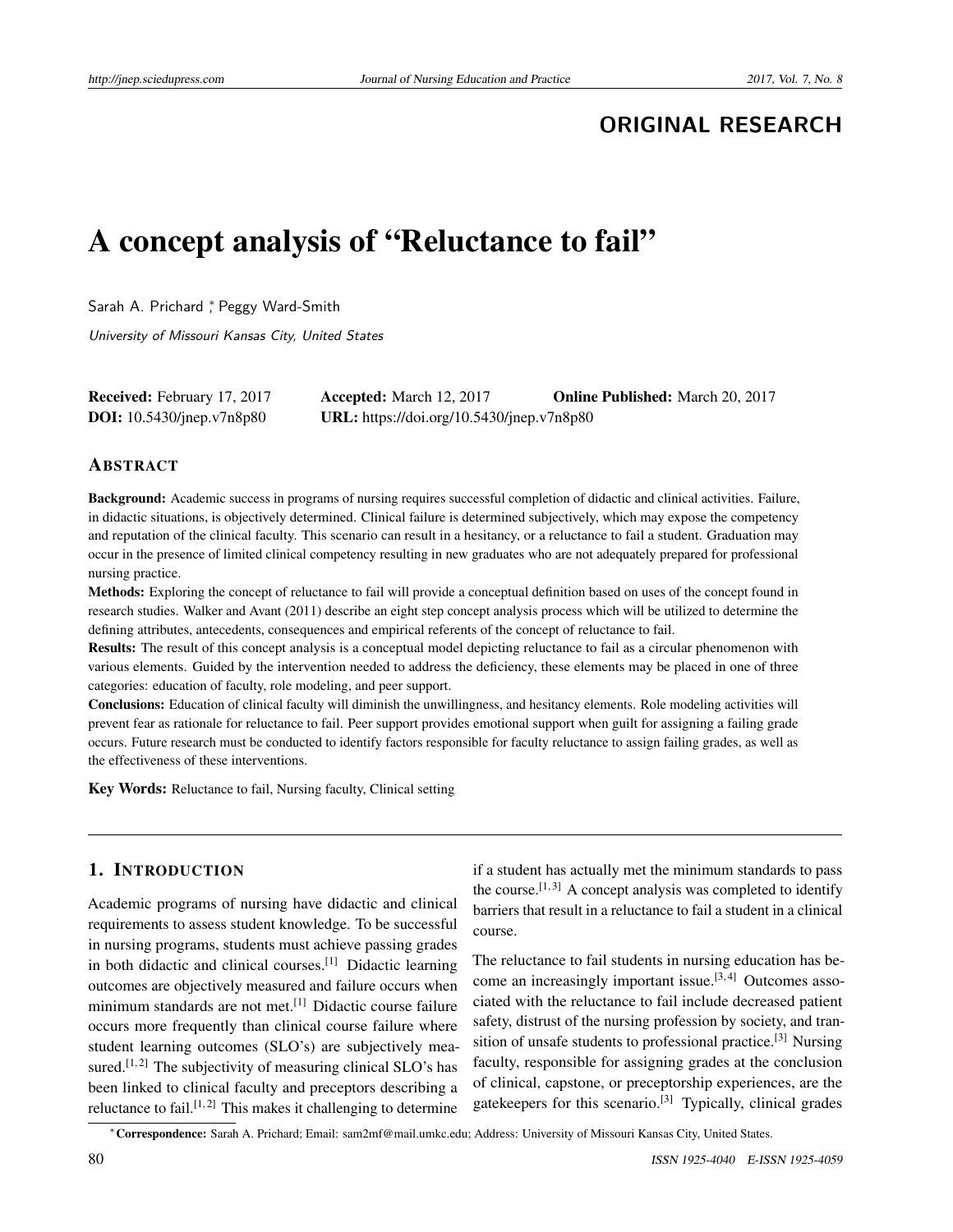# **ORIGINAL RESEARCH**

# A concept analysis of "Reluctance to fail"

Sarah A. Prichard <sup>\*</sup>, Peggy Ward-Smith

University of Missouri Kansas City, United States

| Received: February 17, 2017      | <b>Accepted:</b> March 12, 2017           | <b>Online Published:</b> March 20, 2017 |
|----------------------------------|-------------------------------------------|-----------------------------------------|
| <b>DOI:</b> 10.5430/jnep.v7n8p80 | URL: https://doi.org/10.5430/jnep.v7n8p80 |                                         |

# ABSTRACT

Background: Academic success in programs of nursing requires successful completion of didactic and clinical activities. Failure, in didactic situations, is objectively determined. Clinical failure is determined subjectively, which may expose the competency and reputation of the clinical faculty. This scenario can result in a hesitancy, or a reluctance to fail a student. Graduation may occur in the presence of limited clinical competency resulting in new graduates who are not adequately prepared for professional nursing practice.

Methods: Exploring the concept of reluctance to fail will provide a conceptual definition based on uses of the concept found in research studies. Walker and Avant (2011) describe an eight step concept analysis process which will be utilized to determine the defining attributes, antecedents, consequences and empirical referents of the concept of reluctance to fail.

Results: The result of this concept analysis is a conceptual model depicting reluctance to fail as a circular phenomenon with various elements. Guided by the intervention needed to address the deficiency, these elements may be placed in one of three categories: education of faculty, role modeling, and peer support.

Conclusions: Education of clinical faculty will diminish the unwillingness, and hesitancy elements. Role modeling activities will prevent fear as rationale for reluctance to fail. Peer support provides emotional support when guilt for assigning a failing grade occurs. Future research must be conducted to identify factors responsible for faculty reluctance to assign failing grades, as well as the effectiveness of these interventions.

Key Words: Reluctance to fail, Nursing faculty, Clinical setting

# 1. INTRODUCTION

Academic programs of nursing have didactic and clinical requirements to assess student knowledge. To be successful in nursing programs, students must achieve passing grades in both didactic and clinical courses.[\[1\]](#page-5-0) Didactic learning outcomes are objectively measured and failure occurs when minimum standards are not met.[\[1\]](#page-5-0) Didactic course failure occurs more frequently than clinical course failure where student learning outcomes (SLO's) are subjectively mea-sured.<sup>[\[1,](#page-5-0)[2\]](#page-5-1)</sup> The subjectivity of measuring clinical SLO's has been linked to clinical faculty and preceptors describing a reluctance to fail.<sup>[\[1,](#page-5-0)[2\]](#page-5-1)</sup> This makes it challenging to determine if a student has actually met the minimum standards to pass the course.<sup>[\[1,](#page-5-0)[3\]](#page-5-2)</sup> A concept analysis was completed to identify barriers that result in a reluctance to fail a student in a clinical course.

The reluctance to fail students in nursing education has be-come an increasingly important issue.<sup>[\[3,](#page-5-2)[4\]](#page-5-3)</sup> Outcomes associated with the reluctance to fail include decreased patient safety, distrust of the nursing profession by society, and tran-sition of unsafe students to professional practice.<sup>[\[3\]](#page-5-2)</sup> Nursing faculty, responsible for assigning grades at the conclusion of clinical, capstone, or preceptorship experiences, are the gatekeepers for this scenario.<sup>[\[3\]](#page-5-2)</sup> Typically, clinical grades

<sup>∗</sup>Correspondence: Sarah A. Prichard; Email: sam2mf@mail.umkc.edu; Address: University of Missouri Kansas City, United States.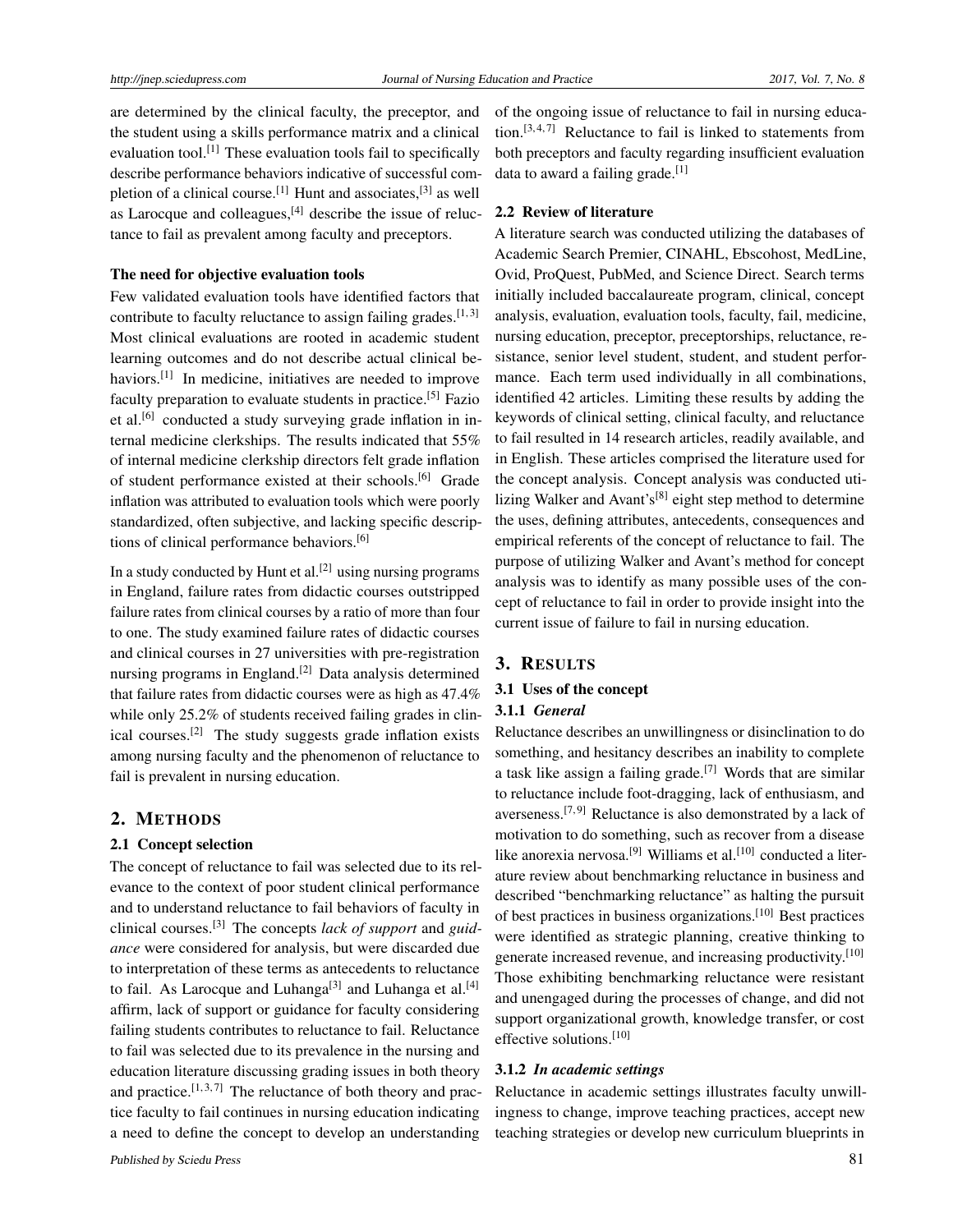are determined by the clinical faculty, the preceptor, and the student using a skills performance matrix and a clinical evaluation tool.[\[1\]](#page-5-0) These evaluation tools fail to specifically describe performance behaviors indicative of successful com-pletion of a clinical course.<sup>[\[1\]](#page-5-0)</sup> Hunt and associates,<sup>[\[3\]](#page-5-2)</sup> as well as Larocque and colleagues, $^{[4]}$  $^{[4]}$  $^{[4]}$  describe the issue of reluctance to fail as prevalent among faculty and preceptors.

#### The need for objective evaluation tools

Few validated evaluation tools have identified factors that contribute to faculty reluctance to assign failing grades.  $[1,3]$  $[1,3]$ Most clinical evaluations are rooted in academic student learning outcomes and do not describe actual clinical be-haviors.<sup>[\[1\]](#page-5-0)</sup> In medicine, initiatives are needed to improve faculty preparation to evaluate students in practice.<sup>[\[5\]](#page-5-4)</sup> Fazio et al.<sup>[\[6\]](#page-5-5)</sup> conducted a study surveying grade inflation in internal medicine clerkships. The results indicated that 55% of internal medicine clerkship directors felt grade inflation of student performance existed at their schools.[\[6\]](#page-5-5) Grade inflation was attributed to evaluation tools which were poorly standardized, often subjective, and lacking specific descriptions of clinical performance behaviors.[\[6\]](#page-5-5)

In a study conducted by Hunt et al.<sup>[\[2\]](#page-5-1)</sup> using nursing programs in England, failure rates from didactic courses outstripped failure rates from clinical courses by a ratio of more than four to one. The study examined failure rates of didactic courses and clinical courses in 27 universities with pre-registration nursing programs in England.<sup>[\[2\]](#page-5-1)</sup> Data analysis determined that failure rates from didactic courses were as high as 47.4% while only 25.2% of students received failing grades in clinical courses.[\[2\]](#page-5-1) The study suggests grade inflation exists among nursing faculty and the phenomenon of reluctance to fail is prevalent in nursing education.

#### 2. METHODS

#### 2.1 Concept selection

The concept of reluctance to fail was selected due to its relevance to the context of poor student clinical performance and to understand reluctance to fail behaviors of faculty in clinical courses.[\[3\]](#page-5-2) The concepts *lack of support* and *guidance* were considered for analysis, but were discarded due to interpretation of these terms as antecedents to reluctance to fail. As Larocque and Luhanga<sup>[\[3\]](#page-5-2)</sup> and Luhanga et al.<sup>[\[4\]](#page-5-3)</sup> affirm, lack of support or guidance for faculty considering failing students contributes to reluctance to fail. Reluctance to fail was selected due to its prevalence in the nursing and education literature discussing grading issues in both theory and practice.<sup>[\[1,](#page-5-0)[3,](#page-5-2)[7\]](#page-5-6)</sup> The reluctance of both theory and practice faculty to fail continues in nursing education indicating a need to define the concept to develop an understanding

of the ongoing issue of reluctance to fail in nursing education. $[3, 4, 7]$  $[3, 4, 7]$  $[3, 4, 7]$  $[3, 4, 7]$  $[3, 4, 7]$  Reluctance to fail is linked to statements from both preceptors and faculty regarding insufficient evaluation data to award a failing grade. $^{[1]}$  $^{[1]}$  $^{[1]}$ 

# 2.2 Review of literature

A literature search was conducted utilizing the databases of Academic Search Premier, CINAHL, Ebscohost, MedLine, Ovid, ProQuest, PubMed, and Science Direct. Search terms initially included baccalaureate program, clinical, concept analysis, evaluation, evaluation tools, faculty, fail, medicine, nursing education, preceptor, preceptorships, reluctance, resistance, senior level student, student, and student performance. Each term used individually in all combinations, identified 42 articles. Limiting these results by adding the keywords of clinical setting, clinical faculty, and reluctance to fail resulted in 14 research articles, readily available, and in English. These articles comprised the literature used for the concept analysis. Concept analysis was conducted uti-lizing Walker and Avant's<sup>[\[8\]](#page-5-7)</sup> eight step method to determine the uses, defining attributes, antecedents, consequences and empirical referents of the concept of reluctance to fail. The purpose of utilizing Walker and Avant's method for concept analysis was to identify as many possible uses of the concept of reluctance to fail in order to provide insight into the current issue of failure to fail in nursing education.

# 3. RESULTS

#### 3.1 Uses of the concept

#### 3.1.1 *General*

Reluctance describes an unwillingness or disinclination to do something, and hesitancy describes an inability to complete a task like assign a failing grade.<sup>[\[7\]](#page-5-6)</sup> Words that are similar to reluctance include foot-dragging, lack of enthusiasm, and averseness.<sup>[\[7,](#page-5-6)[9\]](#page-5-8)</sup> Reluctance is also demonstrated by a lack of motivation to do something, such as recover from a disease like anorexia nervosa.<sup>[\[9\]](#page-5-8)</sup> Williams et al.<sup>[\[10\]](#page-5-9)</sup> conducted a literature review about benchmarking reluctance in business and described "benchmarking reluctance" as halting the pursuit of best practices in business organizations.[\[10\]](#page-5-9) Best practices were identified as strategic planning, creative thinking to generate increased revenue, and increasing productivity.[\[10\]](#page-5-9) Those exhibiting benchmarking reluctance were resistant and unengaged during the processes of change, and did not support organizational growth, knowledge transfer, or cost effective solutions.<sup>[\[10\]](#page-5-9)</sup>

# 3.1.2 *In academic settings*

Reluctance in academic settings illustrates faculty unwillingness to change, improve teaching practices, accept new teaching strategies or develop new curriculum blueprints in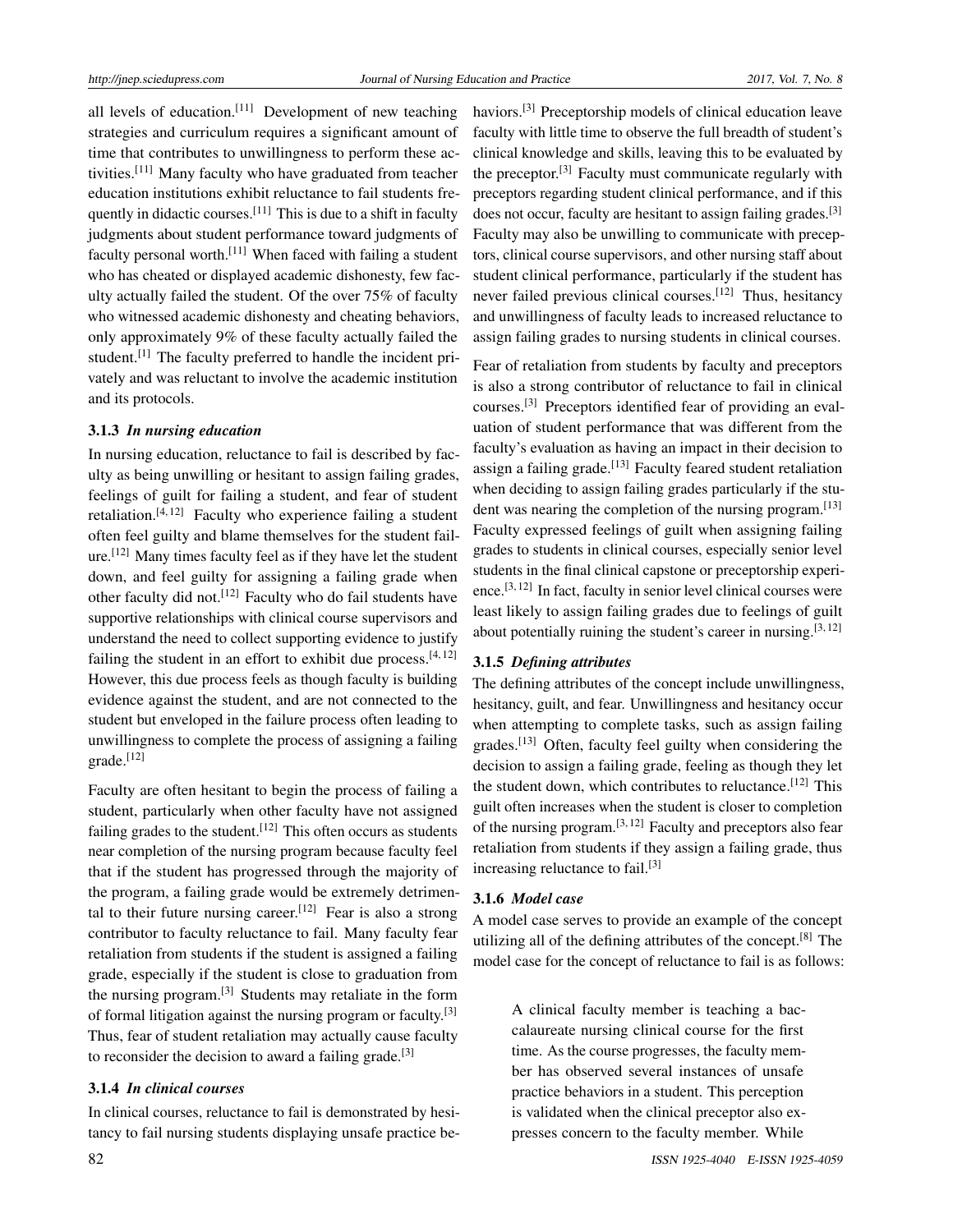all levels of education.[\[11\]](#page-5-10) Development of new teaching strategies and curriculum requires a significant amount of time that contributes to unwillingness to perform these activities.[\[11\]](#page-5-10) Many faculty who have graduated from teacher education institutions exhibit reluctance to fail students fre-quently in didactic courses.<sup>[\[11\]](#page-5-10)</sup> This is due to a shift in faculty judgments about student performance toward judgments of faculty personal worth.[\[11\]](#page-5-10) When faced with failing a student who has cheated or displayed academic dishonesty, few faculty actually failed the student. Of the over 75% of faculty who witnessed academic dishonesty and cheating behaviors, only approximately 9% of these faculty actually failed the student.<sup>[\[1\]](#page-5-0)</sup> The faculty preferred to handle the incident privately and was reluctant to involve the academic institution and its protocols.

#### 3.1.3 *In nursing education*

In nursing education, reluctance to fail is described by faculty as being unwilling or hesitant to assign failing grades, feelings of guilt for failing a student, and fear of student retaliation.<sup>[\[4,](#page-5-3) [12\]](#page-5-11)</sup> Faculty who experience failing a student often feel guilty and blame themselves for the student failure.[\[12\]](#page-5-11) Many times faculty feel as if they have let the student down, and feel guilty for assigning a failing grade when other faculty did not.<sup>[\[12\]](#page-5-11)</sup> Faculty who do fail students have supportive relationships with clinical course supervisors and understand the need to collect supporting evidence to justify failing the student in an effort to exhibit due process. $[4, 12]$  $[4, 12]$  $[4, 12]$ However, this due process feels as though faculty is building evidence against the student, and are not connected to the student but enveloped in the failure process often leading to unwillingness to complete the process of assigning a failing grade.[\[12\]](#page-5-11)

Faculty are often hesitant to begin the process of failing a student, particularly when other faculty have not assigned failing grades to the student.<sup>[\[12\]](#page-5-11)</sup> This often occurs as students near completion of the nursing program because faculty feel that if the student has progressed through the majority of the program, a failing grade would be extremely detrimen-tal to their future nursing career.<sup>[\[12\]](#page-5-11)</sup> Fear is also a strong contributor to faculty reluctance to fail. Many faculty fear retaliation from students if the student is assigned a failing grade, especially if the student is close to graduation from the nursing program.[\[3\]](#page-5-2) Students may retaliate in the form of formal litigation against the nursing program or faculty.<sup>[\[3\]](#page-5-2)</sup> Thus, fear of student retaliation may actually cause faculty to reconsider the decision to award a failing grade. $[3]$ 

# 3.1.4 *In clinical courses*

In clinical courses, reluctance to fail is demonstrated by hesitancy to fail nursing students displaying unsafe practice behaviors.[\[3\]](#page-5-2) Preceptorship models of clinical education leave faculty with little time to observe the full breadth of student's clinical knowledge and skills, leaving this to be evaluated by the preceptor.[\[3\]](#page-5-2) Faculty must communicate regularly with preceptors regarding student clinical performance, and if this does not occur, faculty are hesitant to assign failing grades.<sup>[\[3\]](#page-5-2)</sup> Faculty may also be unwilling to communicate with preceptors, clinical course supervisors, and other nursing staff about student clinical performance, particularly if the student has never failed previous clinical courses.<sup>[\[12\]](#page-5-11)</sup> Thus, hesitancy and unwillingness of faculty leads to increased reluctance to assign failing grades to nursing students in clinical courses.

Fear of retaliation from students by faculty and preceptors is also a strong contributor of reluctance to fail in clinical courses.[\[3\]](#page-5-2) Preceptors identified fear of providing an evaluation of student performance that was different from the faculty's evaluation as having an impact in their decision to assign a failing grade.<sup>[\[13\]](#page-5-12)</sup> Faculty feared student retaliation when deciding to assign failing grades particularly if the stu-dent was nearing the completion of the nursing program.<sup>[\[13\]](#page-5-12)</sup> Faculty expressed feelings of guilt when assigning failing grades to students in clinical courses, especially senior level students in the final clinical capstone or preceptorship experi-ence.<sup>[\[3,](#page-5-2)[12\]](#page-5-11)</sup> In fact, faculty in senior level clinical courses were least likely to assign failing grades due to feelings of guilt about potentially ruining the student's career in nursing.  $[3, 12]$  $[3, 12]$  $[3, 12]$ 

#### 3.1.5 *Defining attributes*

The defining attributes of the concept include unwillingness, hesitancy, guilt, and fear. Unwillingness and hesitancy occur when attempting to complete tasks, such as assign failing grades.[\[13\]](#page-5-12) Often, faculty feel guilty when considering the decision to assign a failing grade, feeling as though they let the student down, which contributes to reluctance.<sup>[\[12\]](#page-5-11)</sup> This guilt often increases when the student is closer to completion of the nursing program. $[3, 12]$  $[3, 12]$  $[3, 12]$  Faculty and preceptors also fear retaliation from students if they assign a failing grade, thus increasing reluctance to fail.[\[3\]](#page-5-2)

# 3.1.6 *Model case*

A model case serves to provide an example of the concept utilizing all of the defining attributes of the concept.<sup>[\[8\]](#page-5-7)</sup> The model case for the concept of reluctance to fail is as follows:

> A clinical faculty member is teaching a baccalaureate nursing clinical course for the first time. As the course progresses, the faculty member has observed several instances of unsafe practice behaviors in a student. This perception is validated when the clinical preceptor also expresses concern to the faculty member. While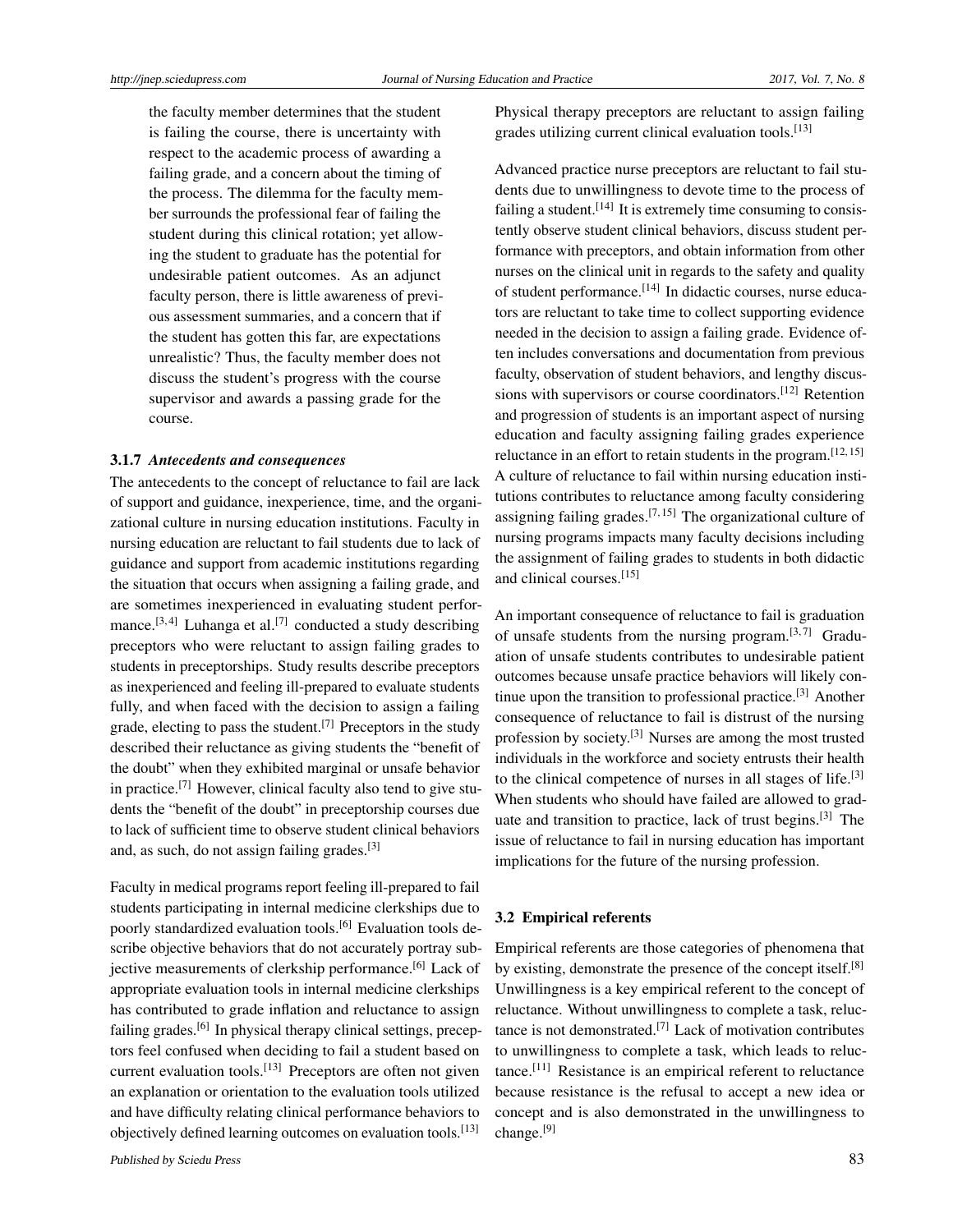the faculty member determines that the student is failing the course, there is uncertainty with respect to the academic process of awarding a failing grade, and a concern about the timing of the process. The dilemma for the faculty member surrounds the professional fear of failing the student during this clinical rotation; yet allowing the student to graduate has the potential for undesirable patient outcomes. As an adjunct faculty person, there is little awareness of previous assessment summaries, and a concern that if the student has gotten this far, are expectations unrealistic? Thus, the faculty member does not discuss the student's progress with the course supervisor and awards a passing grade for the course.

#### 3.1.7 *Antecedents and consequences*

The antecedents to the concept of reluctance to fail are lack of support and guidance, inexperience, time, and the organizational culture in nursing education institutions. Faculty in nursing education are reluctant to fail students due to lack of guidance and support from academic institutions regarding the situation that occurs when assigning a failing grade, and are sometimes inexperienced in evaluating student perfor-mance.<sup>[\[3,](#page-5-2)[4\]](#page-5-3)</sup> Luhanga et al.<sup>[\[7\]](#page-5-6)</sup> conducted a study describing preceptors who were reluctant to assign failing grades to students in preceptorships. Study results describe preceptors as inexperienced and feeling ill-prepared to evaluate students fully, and when faced with the decision to assign a failing grade, electing to pass the student.<sup>[\[7\]](#page-5-6)</sup> Preceptors in the study described their reluctance as giving students the "benefit of the doubt" when they exhibited marginal or unsafe behavior in practice.<sup>[\[7\]](#page-5-6)</sup> However, clinical faculty also tend to give students the "benefit of the doubt" in preceptorship courses due to lack of sufficient time to observe student clinical behaviors and, as such, do not assign failing grades.[\[3\]](#page-5-2)

Faculty in medical programs report feeling ill-prepared to fail students participating in internal medicine clerkships due to poorly standardized evaluation tools.<sup>[\[6\]](#page-5-5)</sup> Evaluation tools describe objective behaviors that do not accurately portray sub-jective measurements of clerkship performance.<sup>[\[6\]](#page-5-5)</sup> Lack of appropriate evaluation tools in internal medicine clerkships has contributed to grade inflation and reluctance to assign failing grades.<sup>[\[6\]](#page-5-5)</sup> In physical therapy clinical settings, preceptors feel confused when deciding to fail a student based on current evaluation tools.[\[13\]](#page-5-12) Preceptors are often not given an explanation or orientation to the evaluation tools utilized and have difficulty relating clinical performance behaviors to objectively defined learning outcomes on evaluation tools.[\[13\]](#page-5-12)

Physical therapy preceptors are reluctant to assign failing grades utilizing current clinical evaluation tools.<sup>[\[13\]](#page-5-12)</sup>

Advanced practice nurse preceptors are reluctant to fail students due to unwillingness to devote time to the process of failing a student.<sup>[\[14\]](#page-5-13)</sup> It is extremely time consuming to consistently observe student clinical behaviors, discuss student performance with preceptors, and obtain information from other nurses on the clinical unit in regards to the safety and quality of student performance.<sup>[\[14\]](#page-5-13)</sup> In didactic courses, nurse educators are reluctant to take time to collect supporting evidence needed in the decision to assign a failing grade. Evidence often includes conversations and documentation from previous faculty, observation of student behaviors, and lengthy discus-sions with supervisors or course coordinators.<sup>[\[12\]](#page-5-11)</sup> Retention and progression of students is an important aspect of nursing education and faculty assigning failing grades experience reluctance in an effort to retain students in the program.<sup>[\[12,](#page-5-11) [15\]](#page-5-14)</sup> A culture of reluctance to fail within nursing education institutions contributes to reluctance among faculty considering assigning failing grades.<sup>[\[7,](#page-5-6)[15\]](#page-5-14)</sup> The organizational culture of nursing programs impacts many faculty decisions including the assignment of failing grades to students in both didactic and clinical courses.[\[15\]](#page-5-14)

An important consequence of reluctance to fail is graduation of unsafe students from the nursing program. $[3, 7]$  $[3, 7]$  $[3, 7]$  Graduation of unsafe students contributes to undesirable patient outcomes because unsafe practice behaviors will likely continue upon the transition to professional practice.[\[3\]](#page-5-2) Another consequence of reluctance to fail is distrust of the nursing profession by society.[\[3\]](#page-5-2) Nurses are among the most trusted individuals in the workforce and society entrusts their health to the clinical competence of nurses in all stages of life.<sup>[\[3\]](#page-5-2)</sup> When students who should have failed are allowed to grad-uate and transition to practice, lack of trust begins.<sup>[\[3\]](#page-5-2)</sup> The issue of reluctance to fail in nursing education has important implications for the future of the nursing profession.

#### 3.2 Empirical referents

Empirical referents are those categories of phenomena that by existing, demonstrate the presence of the concept itself.[\[8\]](#page-5-7) Unwillingness is a key empirical referent to the concept of reluctance. Without unwillingness to complete a task, reluc-tance is not demonstrated.<sup>[\[7\]](#page-5-6)</sup> Lack of motivation contributes to unwillingness to complete a task, which leads to reluctance.[\[11\]](#page-5-10) Resistance is an empirical referent to reluctance because resistance is the refusal to accept a new idea or concept and is also demonstrated in the unwillingness to change.[\[9\]](#page-5-8)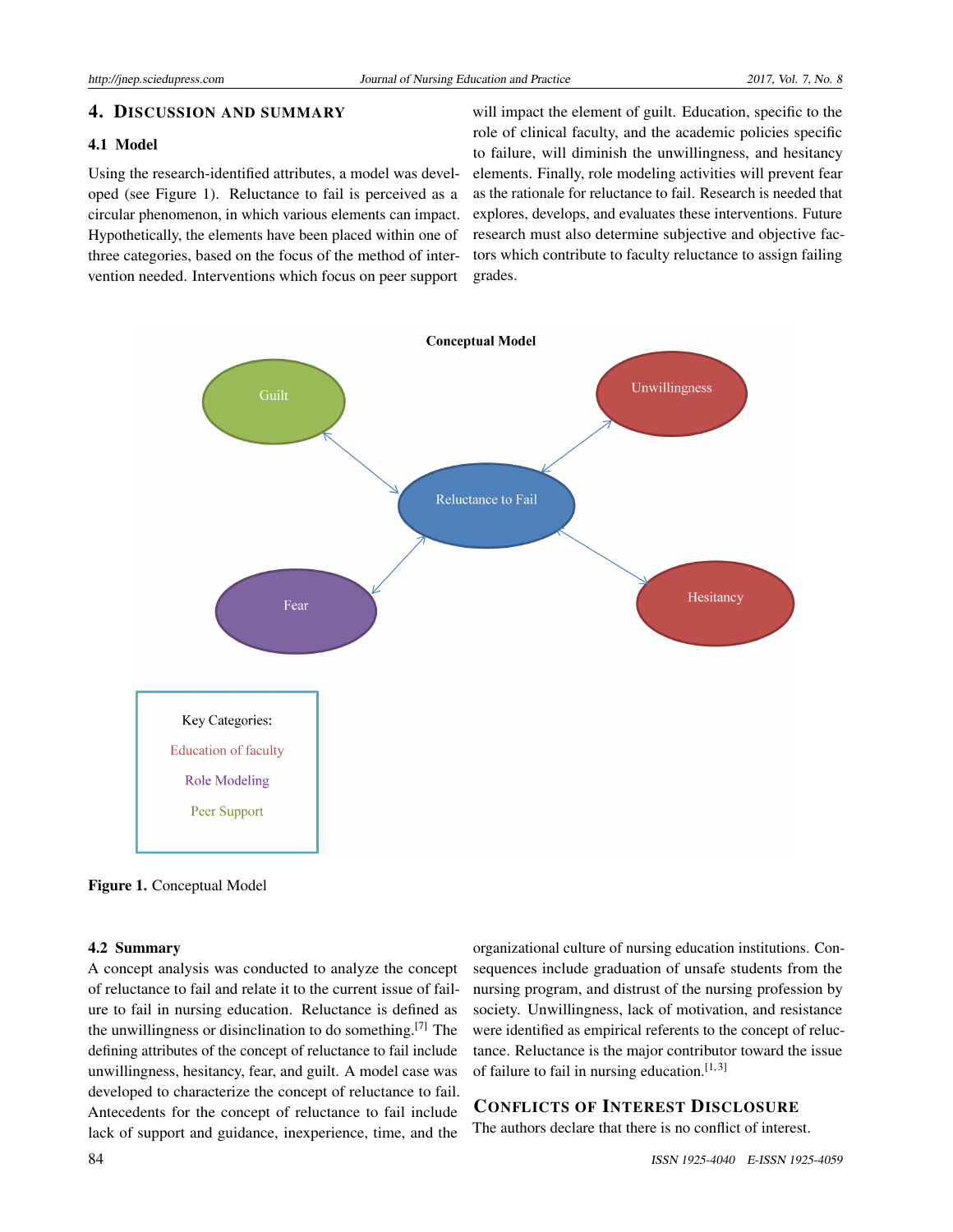# 4. DISCUSSION AND SUMMARY

# 4.1 Model

Using the research-identified attributes, a model was developed (see Figure 1). Reluctance to fail is perceived as a circular phenomenon, in which various elements can impact. Hypothetically, the elements have been placed within one of three categories, based on the focus of the method of intervention needed. Interventions which focus on peer support

will impact the element of guilt. Education, specific to the role of clinical faculty, and the academic policies specific to failure, will diminish the unwillingness, and hesitancy elements. Finally, role modeling activities will prevent fear as the rationale for reluctance to fail. Research is needed that explores, develops, and evaluates these interventions. Future research must also determine subjective and objective factors which contribute to faculty reluctance to assign failing grades.



Figure 1. Conceptual Model

#### 4.2 Summary

A concept analysis was conducted to analyze the concept of reluctance to fail and relate it to the current issue of failure to fail in nursing education. Reluctance is defined as the unwillingness or disinclination to do something.<sup>[\[7\]](#page-5-6)</sup> The defining attributes of the concept of reluctance to fail include unwillingness, hesitancy, fear, and guilt. A model case was developed to characterize the concept of reluctance to fail. Antecedents for the concept of reluctance to fail include lack of support and guidance, inexperience, time, and the organizational culture of nursing education institutions. Consequences include graduation of unsafe students from the nursing program, and distrust of the nursing profession by society. Unwillingness, lack of motivation, and resistance were identified as empirical referents to the concept of reluctance. Reluctance is the major contributor toward the issue of failure to fail in nursing education. $[1,3]$  $[1,3]$ 

# CONFLICTS OF INTEREST DISCLOSURE

The authors declare that there is no conflict of interest.